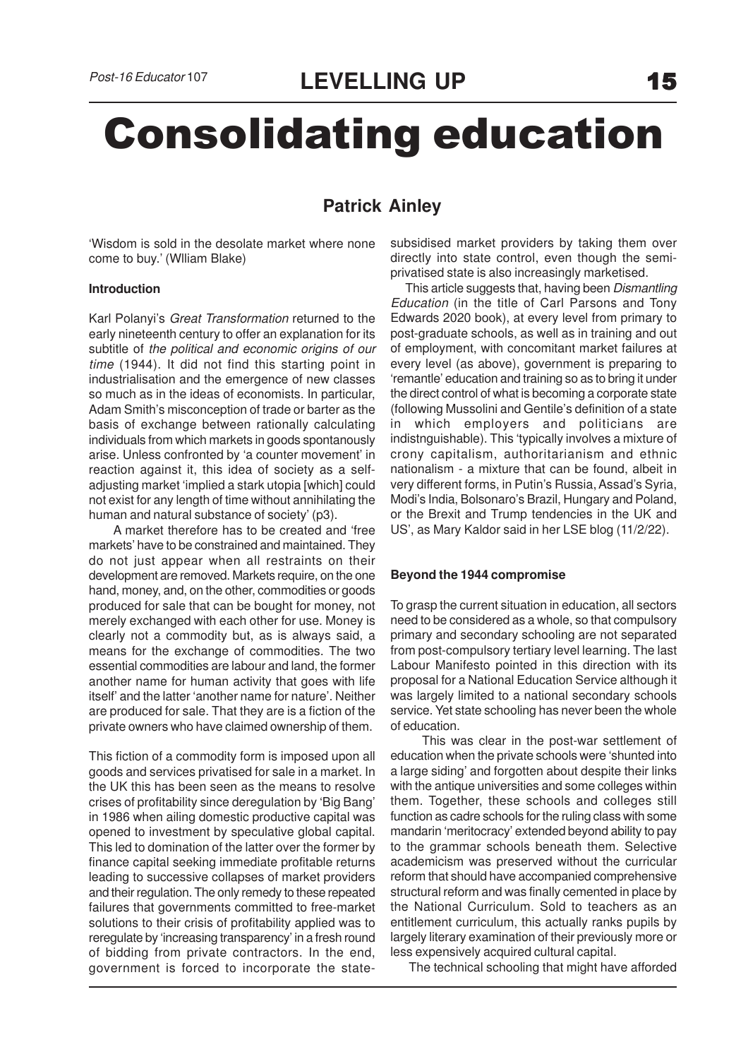# Consolidating education

# **Patrick Ainley**

'Wisdom is sold in the desolate market where none come to buy.' (Wlliam Blake)

#### **Introduction**

Karl Polanyi's Great Transformation returned to the early nineteenth century to offer an explanation for its subtitle of the political and economic origins of our time (1944). It did not find this starting point in industrialisation and the emergence of new classes so much as in the ideas of economists. In particular, Adam Smith's misconception of trade or barter as the basis of exchange between rationally calculating individuals from which markets in goods spontanously arise. Unless confronted by 'a counter movement' in reaction against it, this idea of society as a selfadjusting market 'implied a stark utopia [which] could not exist for any length of time without annihilating the human and natural substance of society' (p3).

 A market therefore has to be created and 'free markets' have to be constrained and maintained. They do not just appear when all restraints on their development are removed. Markets require, on the one hand, money, and, on the other, commodities or goods produced for sale that can be bought for money, not merely exchanged with each other for use. Money is clearly not a commodity but, as is always said, a means for the exchange of commodities. The two essential commodities are labour and land, the former another name for human activity that goes with life itself' and the latter 'another name for nature'. Neither are produced for sale. That they are is a fiction of the private owners who have claimed ownership of them.

This fiction of a commodity form is imposed upon all goods and services privatised for sale in a market. In the UK this has been seen as the means to resolve crises of profitability since deregulation by 'Big Bang' in 1986 when ailing domestic productive capital was opened to investment by speculative global capital. This led to domination of the latter over the former by finance capital seeking immediate profitable returns leading to successive collapses of market providers and their regulation. The only remedy to these repeated failures that governments committed to free-market solutions to their crisis of profitability applied was to reregulate by 'increasing transparency' in a fresh round of bidding from private contractors. In the end, government is forced to incorporate the statesubsidised market providers by taking them over directly into state control, even though the semiprivatised state is also increasingly marketised.

This article suggests that, having been Dismantling Education (in the title of Carl Parsons and Tony Edwards 2020 book), at every level from primary to post-graduate schools, as well as in training and out of employment, with concomitant market failures at every level (as above), government is preparing to 'remantle' education and training so as to bring it under the direct control of what is becoming a corporate state (following Mussolini and Gentile's definition of a state in which employers and politicians are indistnguishable). This 'typically involves a mixture of crony capitalism, authoritarianism and ethnic nationalism - a mixture that can be found, albeit in very different forms, in Putin's Russia, Assad's Syria, Modi's India, Bolsonaro's Brazil, Hungary and Poland, or the Brexit and Trump tendencies in the UK and US', as Mary Kaldor said in her LSE blog (11/2/22).

## **Beyond the 1944 compromise**

To grasp the current situation in education, all sectors need to be considered as a whole, so that compulsory primary and secondary schooling are not separated from post-compulsory tertiary level learning. The last Labour Manifesto pointed in this direction with its proposal for a National Education Service although it was largely limited to a national secondary schools service. Yet state schooling has never been the whole of education.

 This was clear in the post-war settlement of education when the private schools were 'shunted into a large siding' and forgotten about despite their links with the antique universities and some colleges within them. Together, these schools and colleges still function as cadre schools for the ruling class with some mandarin 'meritocracy' extended beyond ability to pay to the grammar schools beneath them. Selective academicism was preserved without the curricular reform that should have accompanied comprehensive structural reform and was finally cemented in place by the National Curriculum. Sold to teachers as an entitlement curriculum, this actually ranks pupils by largely literary examination of their previously more or less expensively acquired cultural capital.

The technical schooling that might have afforded